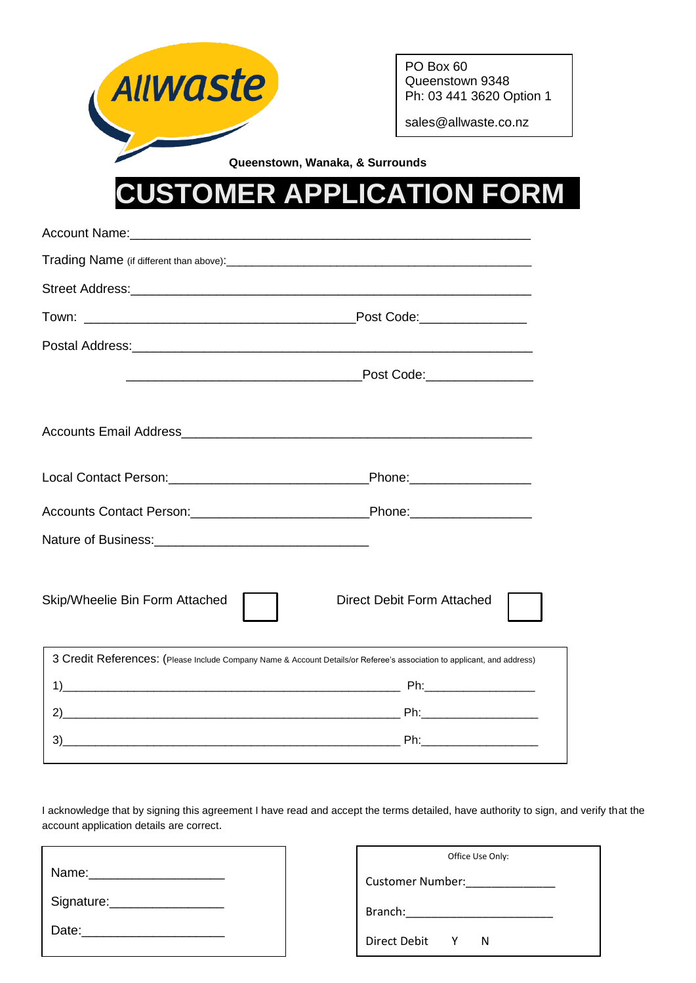

|                                | Post Code:________________                                                                                              |  |  |
|--------------------------------|-------------------------------------------------------------------------------------------------------------------------|--|--|
|                                |                                                                                                                         |  |  |
|                                | Post Code:________________                                                                                              |  |  |
|                                |                                                                                                                         |  |  |
|                                |                                                                                                                         |  |  |
|                                |                                                                                                                         |  |  |
|                                |                                                                                                                         |  |  |
| Skip/Wheelie Bin Form Attached | Direct Debit Form Attached                                                                                              |  |  |
|                                | 3 Credit References: (Please Include Company Name & Account Details/or Referee's association to applicant, and address) |  |  |
|                                |                                                                                                                         |  |  |
|                                |                                                                                                                         |  |  |
| 3)                             |                                                                                                                         |  |  |
|                                |                                                                                                                         |  |  |

I acknowledge that by signing this agreement I have read and accept the terms detailed, have authority to sign, and verify that the account application details are correct.

| Name:      |  |
|------------|--|
| Signature: |  |
| Date:      |  |

| Office Use Only:        |              |   |  |  |
|-------------------------|--------------|---|--|--|
| <b>Customer Number:</b> |              |   |  |  |
| Branch:                 |              |   |  |  |
| Direct Debit            | $\mathsf{Y}$ | N |  |  |